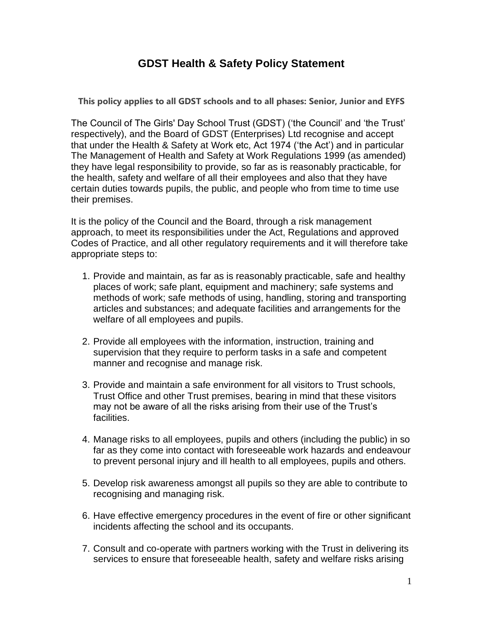## **GDST Health & Safety Policy Statement**

**This policy applies to all GDST schools and to all phases: Senior, Junior and EYFS**

The Council of The Girls' Day School Trust (GDST) ('the Council' and 'the Trust' respectively), and the Board of GDST (Enterprises) Ltd recognise and accept that under the Health & Safety at Work etc, Act 1974 ('the Act') and in particular The Management of Health and Safety at Work Regulations 1999 (as amended) they have legal responsibility to provide, so far as is reasonably practicable, for the health, safety and welfare of all their employees and also that they have certain duties towards pupils, the public, and people who from time to time use their premises.

It is the policy of the Council and the Board, through a risk management approach, to meet its responsibilities under the Act, Regulations and approved Codes of Practice, and all other regulatory requirements and it will therefore take appropriate steps to:

- 1. Provide and maintain, as far as is reasonably practicable, safe and healthy places of work; safe plant, equipment and machinery; safe systems and methods of work; safe methods of using, handling, storing and transporting articles and substances; and adequate facilities and arrangements for the welfare of all employees and pupils.
- 2. Provide all employees with the information, instruction, training and supervision that they require to perform tasks in a safe and competent manner and recognise and manage risk.
- 3. Provide and maintain a safe environment for all visitors to Trust schools, Trust Office and other Trust premises, bearing in mind that these visitors may not be aware of all the risks arising from their use of the Trust's facilities.
- 4. Manage risks to all employees, pupils and others (including the public) in so far as they come into contact with foreseeable work hazards and endeavour to prevent personal injury and ill health to all employees, pupils and others.
- 5. Develop risk awareness amongst all pupils so they are able to contribute to recognising and managing risk.
- 6. Have effective emergency procedures in the event of fire or other significant incidents affecting the school and its occupants.
- 7. Consult and co-operate with partners working with the Trust in delivering its services to ensure that foreseeable health, safety and welfare risks arising